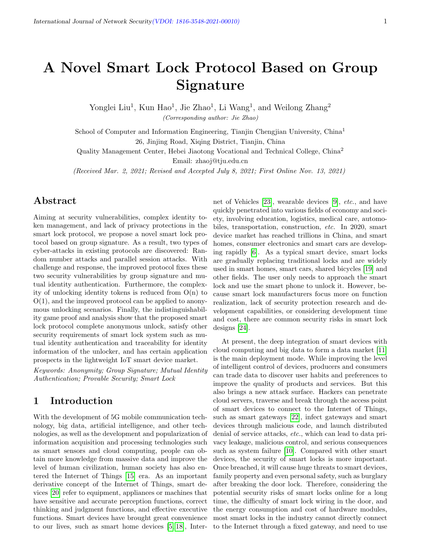# A Novel Smart Lock Protocol Based on Group Signature

Yonglei Liu<sup>1</sup>, Kun Hao<sup>1</sup>, Jie Zhao<sup>1</sup>, Li Wang<sup>1</sup>, and Weilong Zhang<sup>2</sup> (Corresponding author: Jie Zhao)

School of Computer and Information Engineering, Tianjin Chengjian University, China<sup>1</sup> 26, Jinjing Road, Xiqing District, Tianjin, China

Quality Management Center, Hebei Jiaotong Vocational and Technical College, China<sup>2</sup> Email: zhaoj@tju.edu.cn

(Received Mar. 2, 2021; Revised and Accepted July 8, 2021; First Online Nov. 13, 2021)

# Abstract

Aiming at security vulnerabilities, complex identity token management, and lack of privacy protections in the smart lock protocol, we propose a novel smart lock protocol based on group signature. As a result, two types of cyber-attacks in existing protocols are discovered: Random number attacks and parallel session attacks. With challenge and response, the improved protocol fixes these two security vulnerabilities by group signature and mutual identity authentication. Furthermore, the complexity of unlocking identity tokens is reduced from O(n) to  $O(1)$ , and the improved protocol can be applied to anonymous unlocking scenarios. Finally, the indistinguishability game proof and analysis show that the proposed smart lock protocol complete anonymous unlock, satisfy other security requirements of smart lock system such as mutual identity authentication and traceability for identity information of the unlocker, and has certain application prospects in the lightweight IoT smart device market.

Keywords: Anonymity; Group Signature; Mutual Identity Authentication; Provable Security; Smart Lock

# 1 Introduction

With the development of 5G mobile communication technology, big data, artificial intelligence, and other technologies, as well as the development and popularization of information acquisition and processing technologies such as smart sensors and cloud computing, people can obtain more knowledge from massive data and improve the level of human civilization, human society has also entered the Internet of Things [\[15\]](#page-8-0) era. As an important derivative concept of the Internet of Things, smart devices [\[20\]](#page-8-1) refer to equipment, appliances or machines that have sensitive and accurate perception functions, correct thinking and judgment functions, and effective executive functions. Smart devices have brought great convenience to our lives, such as smart home devices [\[5,](#page-8-2) [18\]](#page-8-3), Internet of Vehicles [\[23\]](#page-8-4), wearable devices [\[9\]](#page-8-5), etc., and have quickly penetrated into various fields of economy and society, involving education, logistics, medical care, automobiles, transportation, construction, etc. In 2020, smart device market has reached trillions in China, and smart homes, consumer electronics and smart cars are developing rapidly [\[6\]](#page-8-6). As a typical smart device, smart locks are gradually replacing traditional locks and are widely used in smart homes, smart cars, shared bicycles [\[19\]](#page-8-7) and other fields. The user only needs to approach the smart lock and use the smart phone to unlock it. However, because smart lock manufacturers focus more on function realization, lack of security protection research and development capabilities, or considering development time and cost, there are common security risks in smart lock designs [\[24\]](#page-8-8).

At present, the deep integration of smart devices with cloud computing and big data to form a data market [\[11\]](#page-8-9) is the main deployment mode. While improving the level of intelligent control of devices, producers and consumers can trade data to discover user habits and preferences to improve the quality of products and services. But this also brings a new attack surface. Hackers can penetrate cloud servers, traverse and break through the access point of smart devices to connect to the Internet of Things, such as smart gateways [\[22\]](#page-8-10), infect gateways and smart devices through malicious code, and launch distributed denial of service attacks, etc., which can lead to data privacy leakage, malicious control, and serious consequences such as system failure [\[10\]](#page-8-11). Compared with other smart devices, the security of smart locks is more important. Once breached, it will cause huge threats to smart devices, family property and even personal safety, such as burglary after breaking the door lock. Therefore, considering the potential security risks of smart locks online for a long time, the difficulty of smart lock wiring in the door, and the energy consumption and cost of hardware modules, most smart locks in the industry cannot directly connect to the Internet through a fixed gateway, and need to use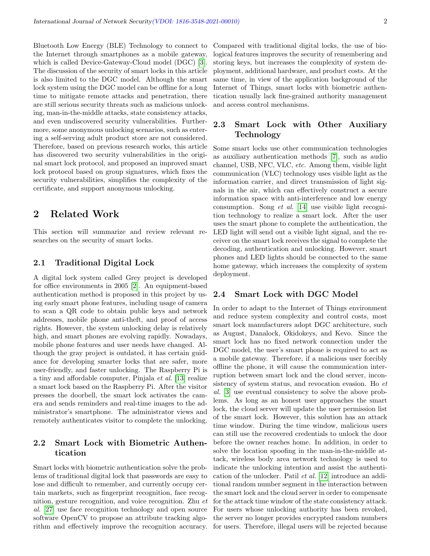Bluetooth Low Energy (BLE) Technology to connect to the Internet through smartphones as a mobile gateway, which is called Device-Gateway-Cloud model (DGC) [\[3\]](#page-8-12). The discussion of the security of smart locks in this article is also limited to the DGC model. Although the smart lock system using the DGC model can be offline for a long time to mitigate remote attacks and penetration, there are still serious security threats such as malicious unlocking, man-in-the-middle attacks, state consistency attacks, and even undiscovered security vulnerabilities. Furthermore, some anonymous unlocking scenarios, such as entering a self-serving adult product store are not considered. Therefore, based on previous research works, this article has discovered two security vulnerabilities in the original smart lock protocol, and proposed an improved smart lock protocol based on group signatures, which fixes the security vulnerabilities, simplifies the complexity of the certificate, and support anonymous unlocking.

# 2 Related Work

This section will summarize and review relevant researches on the security of smart locks.

#### 2.1 Traditional Digital Lock

A digital lock system called Grey project is developed for office environments in 2005 [\[2\]](#page-8-13). An equipment-based authentication method is proposed in this project by using early smart phone features, including usage of camera to scan a QR code to obtain public keys and network addresses, mobile phone anti-theft, and proof of access rights. However, the system unlocking delay is relatively high, and smart phones are evolving rapidly. Nowadays, mobile phone features and user needs have changed. Although the gray project is outdated, it has certain guidance for developing smarter locks that are safer, more user-friendly, and faster unlocking. The Raspberry Pi is a tiny and affordable computer, Pinjala et al. [\[13\]](#page-8-14) realize a smart lock based on the Raspberry Pi. After the visitor presses the doorbell, the smart lock activates the camera and sends reminders and real-time images to the administrator's smartphone. The administrator views and remotely authenticates visitor to complete the unlocking.

### 2.2 Smart Lock with Biometric Authentication

Smart locks with biometric authentication solve the problems of traditional digital lock that passwords are easy to lose and difficult to remember, and currently occupy certain markets, such as fingerprint recognition, face recognition, gesture recognition, and voice recognition. Zhu et al. [\[27\]](#page-8-15) use face recognition technology and open source software OpenCV to propose an attribute tracking algorithm and effectively improve the recognition accuracy. Compared with traditional digital locks, the use of biological features improves the security of remembering and storing keys, but increases the complexity of system deployment, additional hardware, and product costs. At the same time, in view of the application background of the Internet of Things, smart locks with biometric authentication usually lack fine-grained authority management and access control mechanisms.

### 2.3 Smart Lock with Other Auxiliary Technology

Some smart locks use other communication technologies as auxiliary authentication methods [\[7\]](#page-8-16), such as audio channel, USB, NFC, VLC, etc. Among them, visible light communication (VLC) technology uses visible light as the information carrier, and direct transmission of light signals in the air, which can effectively construct a secure information space with anti-interference and low energy consumption. Song et al. [\[14\]](#page-8-17) use visible light recognition technology to realize a smart lock. After the user uses the smart phone to complete the authentication, the LED light will send out a visible light signal, and the receiver on the smart lock receives the signal to complete the decoding, authentication and unlocking. However, smart phones and LED lights should be connected to the same home gateway, which increases the complexity of system deployment.

#### 2.4 Smart Lock with DGC Model

In order to adapt to the Internet of Things environment and reduce system complexity and control costs, most smart lock manufacturers adopt DGC architecture, such as August, Danalock, Okidokeys, and Kevo. Since the smart lock has no fixed network connection under the DGC model, the user's smart phone is required to act as a mobile gateway. Therefore, if a malicious user forcibly offline the phone, it will cause the communication interruption between smart lock and the cloud server, inconsistency of system status, and revocation evasion. Ho et al. [\[3\]](#page-8-12) use eventual consistency to solve the above problems. As long as an honest user approaches the smart lock, the cloud server will update the user permission list of the smart lock. However, this solution has an attack time window. During the time window, malicious users can still use the recovered credentials to unlock the door before the owner reaches home. In addition, in order to solve the location spoofing in the man-in-the-middle attack, wireless body area network technology is used to indicate the unlocking intention and assist the authentication of the unlocker. Patil et al. [\[12\]](#page-8-18) introduce an additional random number segment in the interaction between the smart lock and the cloud server in order to compensate for the attack time window of the state consistency attack. For users whose unlocking authority has been revoked, the server no longer provides encrypted random numbers for users. Therefore, illegal users will be rejected because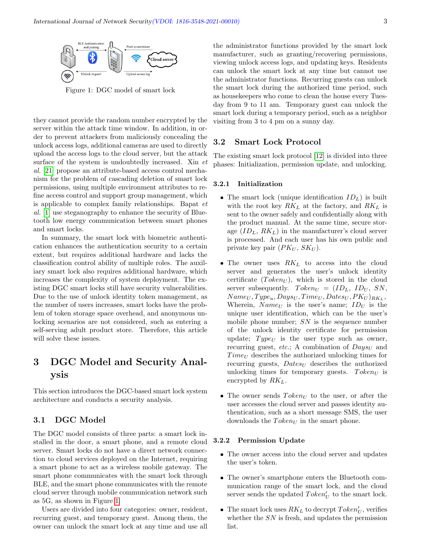

<span id="page-2-0"></span>Figure 1: DGC model of smart lock

they cannot provide the random number encrypted by the server within the attack time window. In addition, in order to prevent attackers from maliciously concealing the unlock access logs, additional cameras are used to directly upload the access logs to the cloud server, but the attack surface of the system is undoubtedly increased. Xin et al. [\[21\]](#page-8-19) propose an attribute-based access control mechanism for the problem of cascading deletion of smart lock permissions, using multiple environment attributes to refine access control and support group management, which is applicable to complex family relationships. Bapat et al. [\[1\]](#page-7-0) use steganography to enhance the security of Bluetooth low energy communication between smart phones and smart locks.

In summary, the smart lock with biometric authentication enhances the authentication security to a certain extent, but requires additional hardware and lacks the classification control ability of multiple roles. The auxiliary smart lock also requires additional hardware, which increases the complexity of system deployment. The existing DGC smart locks still have security vulnerabilities. Due to the use of unlock identity token management, as the number of users increases, smart locks have the problem of token storage space overhead, and anonymous unlocking scenarios are not considered, such as entering a self-serving adult product store. Therefore, this article will solve these issues.

# 3 DGC Model and Security Analysis

This section introduces the DGC-based smart lock system architecture and conducts a security analysis.

#### 3.1 DGC Model

The DGC model consists of three parts: a smart lock installed in the door, a smart phone, and a remote cloud server. Smart locks do not have a direct network connection to cloud services deployed on the Internet, requiring a smart phone to act as a wireless mobile gateway. The smart phone communicates with the smart lock through BLE, and the smart phone communicates with the remote cloud server through mobile communication network such as 5G, as shown in Figure [1.](#page-2-0)

Users are divided into four categories: owner, resident, recurring guest, and temporary guest. Among them, the owner can unlock the smart lock at any time and use all

the administrator functions provided by the smart lock manufacturer, such as granting/recovering permissions, viewing unlock access logs, and updating keys. Residents can unlock the smart lock at any time but cannot use the administrator functions. Recurring guests can unlock the smart lock during the authorized time period, such as housekeepers who come to clean the house every Tuesday from 9 to 11 am. Temporary guest can unlock the smart lock during a temporary period, such as a neighbor visiting from 3 to 4 pm on a sunny day.

#### 3.2 Smart Lock Protocol

The existing smart lock protocol [\[12\]](#page-8-18) is divided into three phases: Initialization, permission update, and unlocking.

#### 3.2.1 Initialization

- The smart lock (unique identification  $ID_L$ ) is built with the root key  $RK_L$  at the factory, and  $RK_L$  is sent to the owner safely and confidentially along with the product manual. At the same time, secure storage  $(ID_L, RK_L)$  in the manufacturer's cloud server is processed. And each user has his own public and private key pair  $(PK_U, SK_U)$ .
- The owner uses  $RK_L$  to access into the cloud server and generates the user's unlock identity certificate  $(Token_U)$ , which is stored in the cloud server subsequently.  $Token_U = (ID_L, ID_U, SN,$  $Name_U, Type_u, Days_U, Time_U, Dates_U, PK_U)_{RK_L},$ Wherein,  $Name<sub>U</sub>$  is the user's name;  $ID<sub>U</sub>$  is the unique user identification, which can be the user's mobile phone number;  $SN$  is the sequence number of the unlock identity certificate for permission update;  $Type_U$  is the user type such as owner, recurring guest, etc.; A combination of  $Days<sub>U</sub>$  and  $Time_U$  describes the authorized unlocking times for recurring guests,  $Dates_U$  describes the authorized unlocking times for temporary guests.  $Token_U$  is encrypted by  $RK<sub>L</sub>$ .
- The owner sends  $Token_U$  to the user, or after the user accesses the cloud server and passes identity authentication, such as a short message SMS, the user downloads the  $Token_U$  in the smart phone.

#### 3.2.2 Permission Update

- The owner access into the cloud server and updates the user's token.
- The owner's smartphone enters the Bluetooth communication range of the smart lock, and the cloud server sends the updated  $Token_U'$  to the smart lock.
- The smart lock uses  $RK_L$  to decrypt  $Token'_U$ , verifies whether the  $SN$  is fresh, and updates the permission list.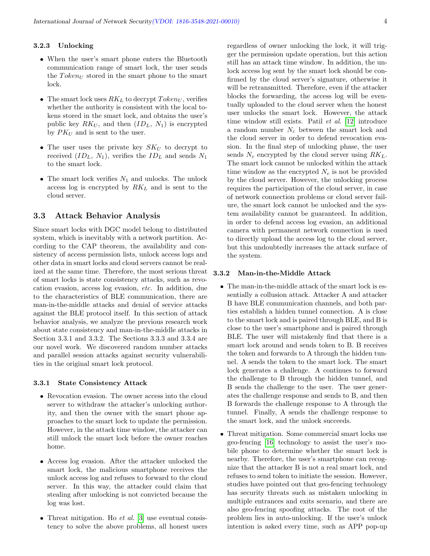#### 3.2.3 Unlocking

- When the user's smart phone enters the Bluetooth communication range of smart lock, the user sends the  $Token_{U}$  stored in the smart phone to the smart lock.
- The smart lock uses  $RK_L$  to decrypt  $Token_U$ , verifies whether the authority is consistent with the local tokens stored in the smart lock, and obtains the user's public key  $RK_U$ , and then  $(ID_L, N_1)$  is encrypted by  $PK_U$  and is sent to the user.
- The user uses the private key  $SK_U$  to decrypt to received  $(ID_L, N_1)$ , verifies the  $ID_L$  and sends  $N_1$ to the smart lock.
- The smart lock verifies  $N_1$  and unlocks. The unlock access log is encrypted by  $RK<sub>L</sub>$  and is sent to the cloud server.

#### 3.3 Attack Behavior Analysis

Since smart locks with DGC model belong to distributed system, which is inevitably with a network partition. According to the CAP theorem, the availability and consistency of access permission lists, unlock access logs and other data in smart locks and cloud servers cannot be realized at the same time. Therefore, the most serious threat of smart locks is state consistency attacks, such as revocation evasion, access log evasion, etc. In addition, due to the characteristics of BLE communication, there are man-in-the-middle attacks and denial of service attacks against the BLE protocol itself. In this section of attack behavior analysis, we analyze the previous research work about state consistency and man-in-the-middle attacks in Section 3.3.1 and 3.3.2. The Sections 3.3.3 and 3.3.4 are our novel work. We discovered random number attacks and parallel session attacks against security vulnerabilities in the original smart lock protocol.

#### 3.3.1 State Consistency Attack

- Revocation evasion. The owner access into the cloud server to withdraw the attacker's unlocking authority, and then the owner with the smart phone approaches to the smart lock to update the permission. However, in the attack time window, the attacker can still unlock the smart lock before the owner reaches home.
- Access log evasion. After the attacker unlocked the smart lock, the malicious smartphone receives the unlock access log and refuses to forward to the cloud server. In this way, the attacker could claim that stealing after unlocking is not convicted because the log was lost.
- Threat mitigation. Ho  $et$  al. [\[3\]](#page-8-12) use eventual consistency to solve the above problems, all honest users

regardless of owner unlocking the lock, it will trigger the permission update operation, but this action still has an attack time window. In addition, the unlock access log sent by the smart lock should be confirmed by the cloud server's signature, otherwise it will be retransmitted. Therefore, even if the attacker blocks the forwarding, the access log will be eventually uploaded to the cloud server when the honest user unlocks the smart lock. However, the attack time window still exists. Patil et al. [\[12\]](#page-8-18) introduce a random number  $N_c$  between the smart lock and the cloud server in order to defend revocation evasion. In the final step of unlocking phase, the user sends  $N_c$  encrypted by the cloud server using  $RK_L$ . The smart lock cannot be unlocked within the attack time window as the encrypted  $N_c$  is not be provided by the cloud server. However, the unlocking process requires the participation of the cloud server, in case of network connection problems or cloud server failure, the smart lock cannot be unlocked and the system availability cannot be guaranteed. In addition, in order to defend access log evasion, an additional camera with permanent network connection is used to directly upload the access log to the cloud server, but this undoubtedly increases the attack surface of the system.

#### 3.3.2 Man-in-the-Middle Attack

- The man-in-the-middle attack of the smart lock is essentially a collusion attack. Attacker A and attacker B have BLE communication channels, and both parties establish a hidden tunnel connection. A is close to the smart lock and is paired through BLE, and B is close to the user's smartphone and is paired through BLE. The user will mistakenly find that there is a smart lock around and sends token to B. B receives the token and forwards to A through the hidden tunnel. A sends the token to the smart lock. The smart lock generates a challenge. A continues to forward the challenge to B through the hidden tunnel, and B sends the challenge to the user. The user generates the challenge response and sends to B, and then B forwards the challenge response to A through the tunnel. Finally, A sends the challenge response to the smart lock, and the unlock succeeds.
- Threat mitigation. Some commercial smart locks use geo-fencing [\[16\]](#page-8-20) technology to assist the user's mobile phone to determine whether the smart lock is nearby. Therefore, the user's smartphone can recognize that the attacker B is not a real smart lock, and refuses to send token to initiate the session. However, studies have pointed out that geo-fencing technology has security threats such as mistaken unlocking in multiple entrances and exits scenario, and there are also geo-fencing spoofing attacks. The root of the problem lies in auto-unlocking. If the user's unlock intention is asked every time, such as APP pop-up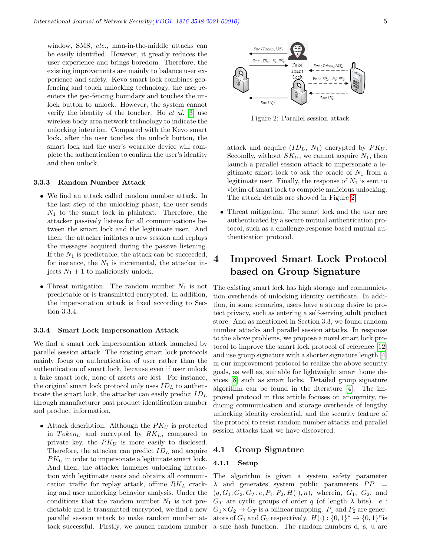window, SMS, etc., man-in-the-middle attacks can be easily identified. However, it greatly reduces the user experience and brings boredom. Therefore, the existing improvements are mainly to balance user experience and safety. Kevo smart lock combines geofencing and touch unlocking technology, the user reenters the geo-fencing boundary and touches the unlock button to unlock. However, the system cannot verify the identity of the toucher. Ho et al. [\[3\]](#page-8-12) use wireless body area network technology to indicate the unlocking intention. Compared with the Kevo smart lock, after the user touches the unlock button, the smart lock and the user's wearable device will complete the authentication to confirm the user's identity and then unlock.

#### 3.3.3 Random Number Attack

- We find an attack called random number attack. In the last step of the unlocking phase, the user sends  $N_1$  to the smart lock in plaintext. Therefore, the attacker passively listens for all communications between the smart lock and the legitimate user. And then, the attacker initiates a new session and replays the messages acquired during the passive listening. If the  $N_1$  is predictable, the attack can be succeeded, for instance, the  $N_1$  is incremental, the attacker injects  $N_1 + 1$  to maliciously unlock.
- Threat mitigation. The random number  $N_1$  is not predictable or is transmitted encrypted. In addition, the impersonation attack is fixed according to Section 3.3.4.

#### 3.3.4 Smart Lock Impersonation Attack

We find a smart lock impersonation attack launched by parallel session attack. The existing smart lock protocols mainly focus on authentication of user rather than the authentication of smart lock, because even if user unlock a fake smart lock, none of assets are lost. For instance, the original smart lock protocol only uses  $ID_L$  to authenticate the smart lock, the attacker can easily predict  $ID<sub>L</sub>$ through manufacturer past product identification number and product information.

• Attack description. Although the  $PK_U$  is protected in  $Token_U$  and encrypted by  $RK_L$ , compared to private key, the  $PK_U$  is more easily to disclosed. Therefore, the attacker can predict  $ID<sub>L</sub>$  and acquire  $PK_U$  in order to impersonate a legitimate smart lock. And then, the attacker launches unlocking interaction with legitimate users and obtains all communication traffic for replay attack, offline  $RK_L$  cracking and user unlocking behavior analysis. Under the conditions that the random number  $N_1$  is not predictable and is transmitted encrypted, we find a new parallel session attack to make random number attack successful. Firstly, we launch random number



<span id="page-4-0"></span>Figure 2: Parallel session attack

attack and acquire  $(ID_L, N_1)$  encrypted by  $PK_U$ . Secondly, without  $SK_U$ , we cannot acquire  $N_1$ , then launch a parallel session attack to impersonate a legitimate smart lock to ask the oracle of  $N_1$  from a legitimate user. Finally, the response of  $N_1$  is sent to victim of smart lock to complete malicious unlocking. The attack details are showed in Figure [2.](#page-4-0)

 Threat mitigation. The smart lock and the user are authenticated by a secure mutual authentication protocol, such as a challenge-response based mutual authentication protocol.

# 4 Improved Smart Lock Protocol based on Group Signature

The existing smart lock has high storage and communication overheads of unlocking identity certificate. In addition, in some scenarios, users have a strong desire to protect privacy, such as entering a self-serving adult product store. And as mentioned in Section 3.3, we found random number attacks and parallel session attacks. In response to the above problems, we propose a novel smart lock protocol to improve the smart lock protocol of reference [\[12\]](#page-8-18) and use group signature with a shorter signature length [\[4\]](#page-8-21) in our improvement protocol to realize the above security goals, as well as, suitable for lightweight smart home devices [\[8\]](#page-8-22) such as smart locks. Detailed group signature algorithm can be found in the literature [\[4\]](#page-8-21). The improved protocol in this article focuses on anonymity, reducing communication and storage overheads of lengthy unlocking identity credential, and the security feature of the protocol to resist random number attacks and parallel session attacks that we have discovered.

#### 4.1 Group Signature

#### 4.1.1 Setup

The algorithm is given a system safety parameter  $\lambda$  and generates system public parameters  $PP =$  $(q, G_1, G_2, G_T, e, P_1, P_2, H(\cdot), n)$ , wherein,  $G_1, G_2,$  and  $G_T$  are cyclic groups of order q (of length  $\lambda$  bits). e:  $G_1\times G_2\to G_T$  is a bilinear mapping.  $P_1$  and  $P_2$  are generators of  $G_1$  and  $G_2$  respectively.  $H(\cdot) : \{0,1\}^* \to \{0,1\}^n$  is a safe hash function. The random numbers d, s, u are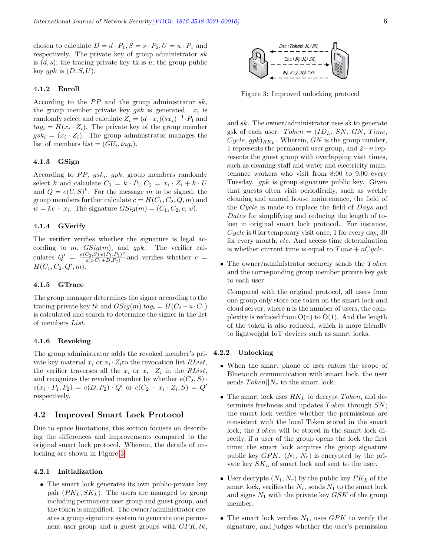chosen to calculate  $D = d \cdot P_1$ ,  $S = s \cdot P_2$ ,  $U = u \cdot P_1$  and respectively. The private key of group administrator sk is  $(d, s)$ ; the tracing private key tk is u; the group public key  $qpk$  is  $(D, S, U)$ .

#### 4.1.2 Enroll

According to the  $PP$  and the group administrator sk, the group member private key  $gsk$  is generated.  $x_i$  is randomly select and calculate  $Z_i = (d-x_i)(sx_i)^{-1} \cdot P_1$  and  $tag_i = H(x_i \cdot Z_i)$ . The private key of the group member  $gsk_i = (x_i \cdot Z_i)$ . The group administrator manages the list of members  $list = (GU_i, tag_i)$ .

#### 4.1.3 GSign

According to  $PP$ ,  $gsk_i$ ,  $gpk$ , group members randomly select k and calculate  $C_1 = k \cdot P_1, C_2 = x_i \cdot Z_i + k \cdot U$ and  $Q = e(U, S)^k$ . For the message m to be signed, the group members further calculate  $c = H(C_1, C_2, Q, m)$  and  $w = kc + x_i$ . The signature  $GSig(m) = (C_1, C_2, c, w)$ .

#### 4.1.4 GVerify

The verifier verifies whether the signature is legal according to m,  $GSig(m)$ , and gpk. The verifier calculates  $Q' = \frac{e(C_2, S) \cdot e(P_1, P_2)^w}{e(c_1 C_2 + D_1 P_2)}$  $\frac{(C_2, S) \cdot e(P_1, P_2)^{-}}{e(c \cdot C_1 + D, P_2)}$  and verifies whether  $c =$  $H(C_1, C_2, Q', m).$ 

#### 4.1.5 GTrace

The group manager determines the signer according to the tracing private key tk and  $GSig(m).tag_i = H(C_2 - u \cdot C_1)$ is calculated and search to determine the signer in the list of members List.

#### 4.1.6 Revoking

The group administrator adds the revoked member's private key material  $x_i$  or  $x_i \cdot Z_i$  to the revocation list  $RList$ , the verifier traverses all the  $x_i$  or  $x_i \cdot Z_i$  in the RList, and recognizes the revoked member by whether  $e(C_2, S)$ .  $e(x_i \cdot P_1, P_2) = e(D, P_2) \cdot Q'$  or  $e(C_2 - x_i \cdot Z_i, S) = Q'$ respectively.

#### 4.2 Improved Smart Lock Protocol

Due to space limitations, this section focuses on describing the differences and improvements compared to the original smart lock protocol. Wherein, the details of unlocking are shown in Figure [3.](#page-5-0)

#### 4.2.1 Initialization

 The smart lock generates its own public-private key pair  $(PK_L, SK_L)$ . The users are managed by group including permanent user group and guest group, and the token is simplified. The owner/administrator creates a group signature system to generate one permanent user group and n guest groups with  $GPK, tk$ ,



<span id="page-5-0"></span>Figure 3: Improved unlocking protocol

and sk. The owner/administrator uses sk to generate gsk of each user.  $Token = (ID_L, SN, GN, Time,$  $Cycle, gpk)_{RK_L}$ . Wherein,  $GN$  is the group number, 1 represents the permanent user group, and  $2-n$  represents the guest group with overlapping visit times, such as cleaning staff and water and electricity maintenance workers who visit from 8:00 to 9:00 every Tuesday. gpk is group signature public key. Given that guests often visit periodically, such as weekly cleaning and annual house maintenance, the field of the Cycle is made to replace the field of Days and Dates for simplifying and reducing the length of token in original smart lock protocol. For instance,  $Cycle$  is 0 for temporary visit once, 1 for every day, 30 for every month, etc. And access time determination is whether current time is equal to  $Time + nCycle$ .

• The owner/administrator securely sends the  $Token$ and the corresponding group member private key *qsk* to each user.

Compared with the original protocol, all users from one group only store one token on the smart lock and cloud server, where n is the number of users, the complexity is reduced from  $O(n)$  to  $O(1)$ . And the length of the token is also reduced, which is more friendly to lightweight IoT devices such as smart locks.

#### 4.2.2 Unlocking

- When the smart phone of user enters the scope of Bluetooth communication with smart lock, the user sends  $Token||N_r$  to the smart lock.
- The smart lock uses  $RK_L$  to decrypt  $Token$ , and determines freshness and updates  $Token$  through  $SN$ ; the smart lock verifies whether the permissions are consistent with the local Token stored in the smart lock; the Token will be stored in the smart lock directly, if a user of the group opens the lock the first time; the smart lock acquires the group signature public key  $GPK$ .  $(N_1, N_r)$  is encrypted by the private key  $SK_L$  of smart lock and sent to the user.
- User decrypts  $(N_1, N_r)$  by the public key  $PK_L$  of the smart lock, verifies the  $N_r$ , sends  $N_1$  to the smart lock and signs  $N_1$  with the private key  $GSK$  of the group member.
- The smart lock verifies  $N_1$ , uses  $GPK$  to verify the signature, and judges whether the user's permission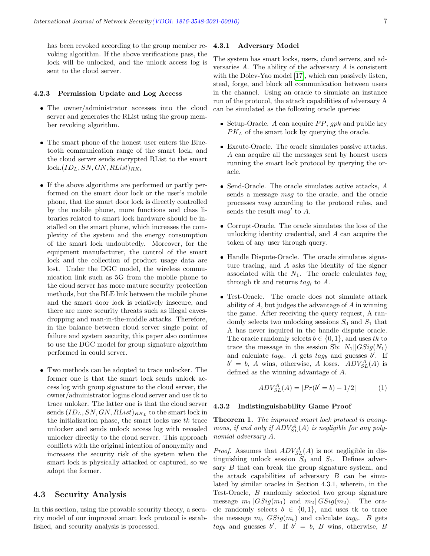has been revoked according to the group member revoking algorithm. If the above verifications pass, the lock will be unlocked, and the unlock access log is sent to the cloud server.

#### 4.2.3 Permission Update and Log Access

- The owner/administrator accesses into the cloud server and generates the RList using the group member revoking algorithm.
- The smart phone of the honest user enters the Bluetooth communication range of the smart lock, and the cloud server sends encrypted RList to the smart  $lock.(ID_L, SN, GN, RList)_{RK_L}$
- If the above algorithms are performed or partly performed on the smart door lock or the user's mobile phone, that the smart door lock is directly controlled by the mobile phone, more functions and class libraries related to smart lock hardware should be installed on the smart phone, which increases the complexity of the system and the energy consumption of the smart lock undoubtedly. Moreover, for the equipment manufacturer, the control of the smart lock and the collection of product usage data are lost. Under the DGC model, the wireless communication link such as 5G from the mobile phone to the cloud server has more mature security protection methods, but the BLE link between the mobile phone and the smart door lock is relatively insecure, and there are more security threats such as illegal eavesdropping and man-in-the-middle attacks. Therefore, in the balance between cloud server single point of failure and system security, this paper also continues to use the DGC model for group signature algorithm performed in could server.
- Two methods can be adopted to trace unlocker. The former one is that the smart lock sends unlock access log with group signature to the cloud server, the owner/administrator logins cloud server and use tk to trace unloker. The latter one is that the cloud server sends  $(ID_L, SN, GN, RList)_{RK_L}$  to the smart lock in the initialization phase, the smart locks use  $tk$  trace unlocker and sends unlock access log with revealed unlocker directly to the cloud server. This approach conflicts with the original intention of anonymity and increases the security risk of the system when the smart lock is physically attacked or captured, so we adopt the former.

#### 4.3 Security Analysis

In this section, using the provable security theory, a security model of our improved smart lock protocol is established, and security analysis is processed.

#### 4.3.1 Adversary Model

The system has smart locks, users, cloud servers, and adversaries  $A$ . The ability of the adversary  $A$  is consistent with the Dolev-Yao model [\[17\]](#page-8-23), which can passively listen, steal, forge, and block all communication between users in the channel. Using an oracle to simulate an instance run of the protocol, the attack capabilities of adversary A can be simulated as the following oracle queries:

- Setup-Oracle. A can acquire  $PP$ ,  $gpk$  and public key  $PK<sub>L</sub>$  of the smart lock by querying the oracle.
- Excute-Oracle. The oracle simulates passive attacks. A can acquire all the messages sent by honest users running the smart lock protocol by querying the oracle.
- $\bullet$  Send-Oracle. The oracle simulates active attacks,  $A$ sends a message msg to the oracle, and the oracle processes msg according to the protocol rules, and sends the result  $msg'$  to  $A$ .
- Corrupt-Oracle. The oracle simulates the loss of the unlocking identity credential, and A can acquire the token of any user through query.
- Handle Dispute-Oracle. The oracle simulates signature tracing, and A asks the identity of the signer associated with the  $N_1$ . The oracle calculates  $tag_i$ through tk and returns  $tag_i$  to A.
- Test-Oracle. The oracle does not simulate attack ability of A, but judges the advantage of A in winning the game. After receiving the query request, A randomly selects two unlocking sessions  $S_0$  and  $S_1$  that A has never inquired in the handle dispute oracle. The oracle randomly selects  $b \in \{0, 1\}$ , and uses tk to trace the message in the session Sb:  $N_1||GSig(N_1)|$ and calculate  $tag_b$ . A gets  $tag_b$  and guesses  $b'$ . If  $b' = b$ , A wins, otherwise, A loses.  $ADV_{SL}^{A}(A)$  is defined as the winning advantage of A.

$$
ADV_{SL}^A(A) = |Pr(b' = b) - 1/2| \tag{1}
$$

#### 4.3.2 Indistinguishability Game Proof

Theorem 1. The improved smart lock protocol is anonymous, if and only if  $ADV_{SL}^A(A)$  is negligible for any polynomial adversary A.

*Proof.* Assumes that  $ADV_{SL}^A(A)$  is not negligible in distinguishing unlock session  $S_0$  and  $S_1$ . Defines adversary B that can break the group signature system, and the attack capabilities of adversary  $B$  can be simulated by similar oracles in Section 4.3.1, wherein, in the Test-Oracle, B randomly selected two group signature message  $m_1||GSig(m_1)$  and  $m_2||GSig(m_2)$ . The oracle randomly selects  $b \in \{0,1\}$ , and uses tk to trace the message  $m_b||GSig(m_b)$  and calculate  $tag_b$ . B gets  $tag_b$  and guesses b'. If  $b' = b$ , B wins, otherwise, B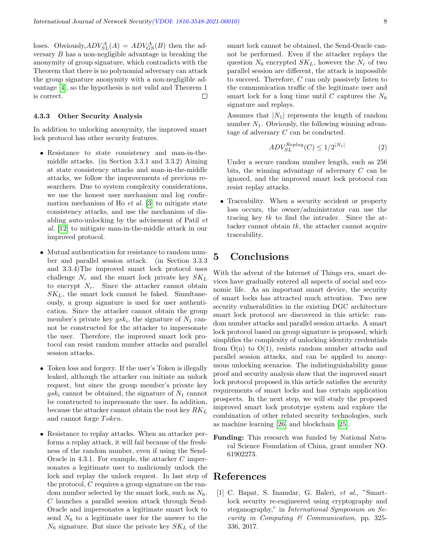loses. Obviously,  $ADV_{SL}^{A}(A) = ADV_{GS}^{A}(B)$  then the adversary  $B$  has a non-negligible advantage in breaking the anonymity of group signature, which contradicts with the Theorem that there is no polynomial adversary can attack the group signature anonymity with a non-negligible advantage [\[4\]](#page-8-21), so the hypothesis is not valid and Theorem 1 is correct.  $\Box$ 

#### 4.3.3 Other Security Analysis

In addition to unlocking anonymity, the improved smart lock protocol has other security features.

- Resistance to state consistency and man-in-themiddle attacks. (in Section 3.3.1 and 3.3.2) Aiming at state consistency attacks and man-in-the-middle attacks, we follow the improvements of previous researchers. Due to system complexity considerations, we use the honest user mechanism and log confirmation mechanism of Ho *et al.* [\[3\]](#page-8-12) to mitigate state consistency attacks, and use the mechanism of disabling auto-unlocking by the advisement of Patil et al. [\[12\]](#page-8-18) to mitigate man-in-the-middle attack in our improved protocol.
- Mutual authentication for resistance to random number and parallel session attack. (in Section 3.3.3 and 3.3.4)The improved smart lock protocol uses challenge  $N_r$  and the smart lock private key  $SK_L$ to encrypt  $N_r$ . Since the attacker cannot obtain  $SK_L$ , the smart lock cannot be faked. Simultaneously, a group signature is used for user authentication. Since the attacker cannot obtain the group member's private key  $gsk_i$ , the signature of  $N_1$  cannot be constructed for the attacker to impersonate the user. Therefore, the improved smart lock protocol can resist random number attacks and parallel session attacks.
- Token loss and forgery. If the user's Token is illegally leaked, although the attacker can initiate an unlock request, but since the group member's private key  $g s k_i$  cannot be obtained, the signature of  $N_1$  cannot be constructed to impersonate the user. In addition, because the attacker cannot obtain the root key  $RK<sub>L</sub>$ and cannot forge Token.
- Resistance to replay attacks. When an attacker performs a replay attack, it will fail because of the freshness of the random number, even if using the Send-Oracle in 4.3.1. For example, the attacker C impersonates a legitimate user to maliciously unlock the lock and replay the unlock request. In last step of the protocol, C requires a group signature on the random number selected by the smart lock, such as  $N_6$ . C launches a parallel session attack through Send-Oracle and impersonates a legitimate smart lock to send  $N_6$  to a legitimate user for the answer to the  $N_6$  signature. But since the private key  $SK_L$  of the

smart lock cannot be obtained, the Send-Oracle cannot be performed. Even if the attacker replays the question  $N_6$  encrypted  $SK_L$ , however the  $N_r$  of two parallel session are different, the attack is impossible to succeed. Therefore, C can only passively listen to the communication traffic of the legitimate user and smart lock for a long time until C captures the  $N_6$ signature and replays.

Assumes that  $|N_1|$  represents the length of random number  $N_1$ . Obviously, the following winning advantage of adversary C can be conducted.

$$
ADV_{SL}^{Replay}(C) \le 1/2^{|N_1|} \tag{2}
$$

Under a secure random number length, such as 256 bits, the winning advantage of adversary C can be ignored, and the improved smart lock protocol can resist replay attacks.

 Traceability. When a security accident or property loss occurs, the owner/administrator can use the tracing key  $tk$  to find the intruder. Since the attacker cannot obtain  $tk$ , the attacker cannot acquire traceability.

## 5 Conclusions

With the advent of the Internet of Things era, smart devices have gradually entered all aspects of social and economic life. As an important smart device, the security of smart locks has attracted much attention. Two new security vulnerabilities in the existing DGC architecture smart lock protocol are discovered in this article: random number attacks and parallel session attacks. A smart lock protocol based on group signature is proposed, which simplifies the complexity of unlocking identity credentials from  $O(n)$  to  $O(1)$ , resists random number attacks and parallel session attacks, and can be applied to anonymous unlocking scenarios. The indistinguishability game proof and security analysis show that the improved smart lock protocol proposed in this article satisfies the security requirements of smart locks and has certain application prospects. In the next step, we will study the proposed improved smart lock prototype system and explore the combination of other related security technologies, such as machine learning [\[26\]](#page-8-24) and blockchain [\[25\]](#page-8-25).

Funding: This research was funded by National Natural Science Foundation of China, grant number NO. 61902273.

### References

<span id="page-7-0"></span>[1] C. Bapat, S. Inamdar, G. Baleri, et al., "Smartlock security re-engineered using cryptography and steganography," in International Symposium on Security in Computing & Communication, pp. 325- 336, 2017.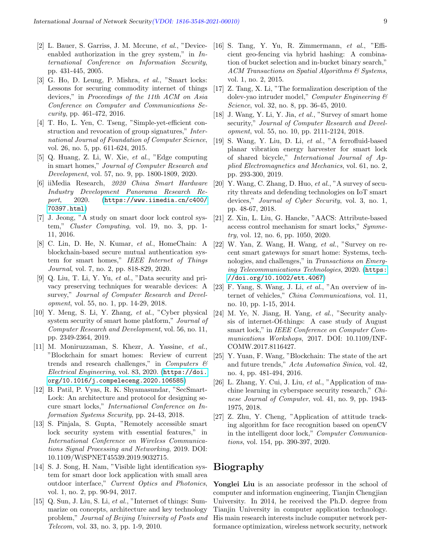- <span id="page-8-13"></span>[2] L. Bauer, S. Garriss, J. M. Mccune, et al., "Deviceenabled authorization in the grey system," in  $In$ ternational Conference on Information Security, pp. 431-445, 2005.
- <span id="page-8-12"></span>[3] G. Ho, D. Leung, P. Mishra, et al., "Smart locks: Lessons for securing commodity internet of things devices," in Proceedings of the 11th ACM on Asia Conference on Computer and Communications Security, pp. 461-472, 2016.
- <span id="page-8-21"></span>[4] T. Ho, L. Yen, C. Tseng, "Simple-yet-efficient construction and revocation of group signatures," International Journal of Foundation of Computer Science, vol. 26, no. 5, pp. 611-624, 2015.
- <span id="page-8-2"></span>[5] Q. Huang, Z. Li, W. Xie, et al., "Edge computing in smart homes," Journal of Computer Research and Development, vol. 57, no. 9, pp. 1800-1809, 2020.
- <span id="page-8-6"></span>[6] iiMedia Research, 2020 China Smart Hardware Industry Development Panorama Research Report, 2020. ([https://www.iimedia.cn/c400/](https://www.iimedia.cn/c400/70397.html) [70397.html](https://www.iimedia.cn/c400/70397.html))
- <span id="page-8-16"></span>[7] J. Jeong, "A study on smart door lock control system," Cluster Computing, vol. 19, no. 3, pp. 1- 11, 2016.
- <span id="page-8-22"></span>[8] C. Lin, D. He, N. Kumar, et al., HomeChain: A blockchain-based secure mutual authentication system for smart homes," IEEE Internet of Things Journal, vol. 7, no. 2, pp. 818-829, 2020.
- <span id="page-8-5"></span>[9] Q. Liu, T. Li, Y. Yu, et al., "Data security and privacy preserving techniques for wearable devices: A survey," Journal of Computer Research and Development, vol. 55, no. 1, pp. 14-29, 2018.
- <span id="page-8-11"></span>[10] Y. Meng, S. Li, Y. Zhang, et al., "Cyber physical system security of smart home platform," Journal of Computer Research and Development, vol. 56, no. 11, pp. 2349-2364, 2019.
- <span id="page-8-9"></span>[11] M. Moniruzzaman, S. Khezr, A. Yassine, et al., "Blockchain for smart homes: Review of current trends and research challenges," in Computers  $\mathcal{C}$ Electrical Engineering, vol. 83, 2020. ([https://doi.](https://doi.org/10.1016/j.compeleceng.2020.106585) [org/10.1016/j.compeleceng.2020.106585](https://doi.org/10.1016/j.compeleceng.2020.106585))
- <span id="page-8-18"></span>[12] B. Patil, P. Vyas, R. K. Shyamasundar, "SecSmart-Lock: An architecture and protocol for designing secure smart locks," International Conference on Information Systems Security, pp. 24-43, 2018.
- <span id="page-8-14"></span>[13] S. Pinjala, S. Gupta, "Remotely accessible smart lock security system with essential features," in International Conference on Wireless Communications Signal Processing and Networking, 2019. DOI: 10.1109/WiSPNET45539.2019.9032715.
- <span id="page-8-17"></span>[14] S. J. Song, H. Nam, "Visible light identification system for smart door lock application with small area outdoor interface," Current Optics and Photonics, vol. 1, no. 2, pp. 90-94, 2017.
- <span id="page-8-0"></span>[15] Q. Sun, J. Liu, S. Li, et al., "Internet of things: Summarize on concepts, architecture and key technology problem," Journal of Beijing University of Posts and Telecom, vol. 33, no. 3, pp. 1-9, 2010.
- <span id="page-8-20"></span>[16] S. Tang, Y. Yu, R. Zimmermann, et al., "Efficient geo-fencing via hybrid hashing: A combination of bucket selection and in-bucket binary search," ACM Transactions on Spatial Algorithms & Systems, vol. 1, no. 2, 2015.
- <span id="page-8-23"></span>[17] Z. Tang, X. Li, "The formalization description of the dolev-yao intruder model," Computer Engineering & Science, vol. 32, no. 8, pp. 36-45, 2010.
- <span id="page-8-3"></span>[18] J. Wang, Y. Li, Y. Jia, et al., "Survey of smart home security," Journal of Computer Research and Development, vol. 55, no. 10, pp. 2111-2124, 2018.
- <span id="page-8-7"></span>[19] S. Wang, Y. Liu, D. Li, et al., "A ferrofluid-based planar vibration energy harvester for smart lock of shared bicycle," International Journal of Applied Electromagnetics and Mechanics, vol. 61, no. 2, pp. 293-300, 2019.
- <span id="page-8-1"></span>[20] Y. Wang, C. Zhang, D. Huo, et al., "A survey of security threats and defending technologies on IoT smart devices," Journal of Cyber Security, vol. 3, no. 1, pp. 48-67, 2018.
- <span id="page-8-19"></span>[21] Z. Xin, L. Liu, G. Hancke, "AACS: Attribute-based access control mechanism for smart locks," Symmetry, vol. 12, no. 6, pp. 1050, 2020.
- <span id="page-8-10"></span>[22] W. Yan, Z. Wang, H. Wang, et al., "Survey on recent smart gateways for smart home: Systems, technologies, and challenges," in Transactions on Emerging Telecommunications Technologies, 2020. ([https:](https://doi.org/10.1002/ett.4067) [//doi.org/10.1002/ett.4067](https://doi.org/10.1002/ett.4067))
- <span id="page-8-4"></span>[23] F. Yang, S. Wang, J. Li, et al., "An overview of internet of vehicles," China Communications, vol. 11, no. 10, pp. 1-15, 2014.
- <span id="page-8-8"></span>[24] M. Ye, N. Jiang, H. Yang, et al., "Security analysis of internet-Of-things: A case study of August smart lock," in IEEE Conference on Computer Communications Workshops, 2017. DOI: 10.1109/INF-COMW.2017.8116427.
- <span id="page-8-25"></span>[25] Y. Yuan, F. Wang, "Blockchain: The state of the art and future trends," Acta Automatica Sinica, vol. 42, no. 4, pp. 481-494, 2016.
- <span id="page-8-24"></span>[26] L. Zhang, Y. Cui, J. Liu, et al., "Application of machine learning in cyberspace security research," Chinese Journal of Computer, vol. 41, no. 9, pp. 1943- 1975, 2018.
- <span id="page-8-15"></span>[27] Z. Zhu, Y. Cheng, "Application of attitude tracking algorithm for face recognition based on openCV in the intelligent door lock," Computer Communications, vol. 154, pp. 390-397, 2020.

# Biography

Yonglei Liu is an associate professor in the school of computer and information engineering, Tianjin Chengjian University. In 2014, he received the Ph.D. degree from Tianjin University in computer application technology. His main research interests include computer network performance optimization, wireless network security, network